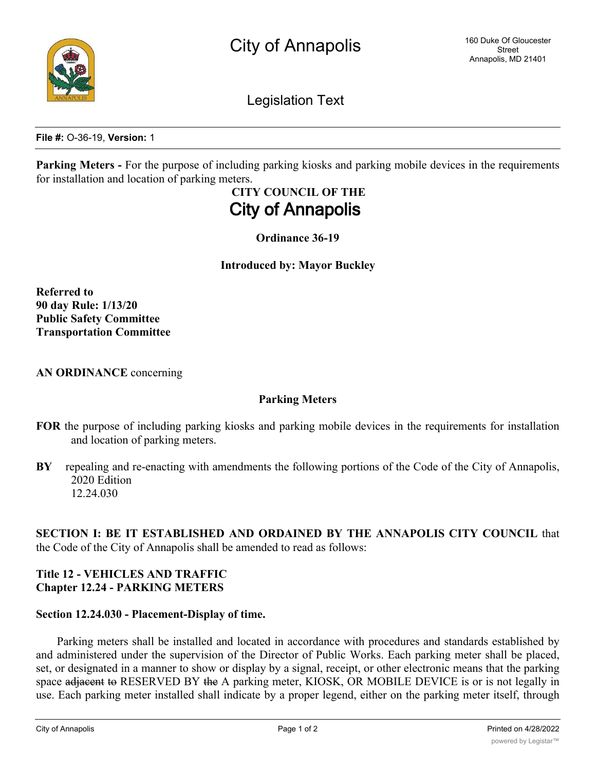

Legislation Text

**File #:** O-36-19, **Version:** 1

**Parking Meters -** For the purpose of including parking kiosks and parking mobile devices in the requirements for installation and location of parking meters.

# **CITY COUNCIL OF THE City of Annapolis**

**Ordinance 36-19**

### **Introduced by: Mayor Buckley**

**Referred to 90 day Rule: 1/13/20 Public Safety Committee Transportation Committee**

**AN ORDINANCE** concerning

### **Parking Meters**

- **FOR** the purpose of including parking kiosks and parking mobile devices in the requirements for installation and location of parking meters.
- **BY** repealing and re-enacting with amendments the following portions of the Code of the City of Annapolis, 2020 Edition 12.24.030

**SECTION I: BE IT ESTABLISHED AND ORDAINED BY THE ANNAPOLIS CITY COUNCIL** that the Code of the City of Annapolis shall be amended to read as follows:

### **Title 12 - VEHICLES AND TRAFFIC Chapter 12.24 - PARKING METERS**

### **Section 12.24.030 - Placement-Display of time.**

Parking meters shall be installed and located in accordance with procedures and standards established by and administered under the supervision of the Director of Public Works. Each parking meter shall be placed, set, or designated in a manner to show or display by a signal, receipt, or other electronic means that the parking space adjacent to RESERVED BY the A parking meter, KIOSK, OR MOBILE DEVICE is or is not legally in use. Each parking meter installed shall indicate by a proper legend, either on the parking meter itself, through